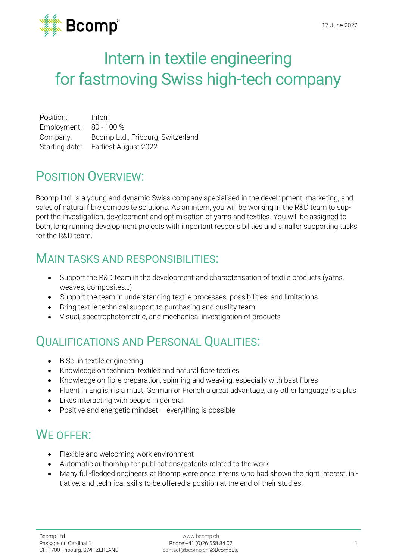

# Intern in textile engineering for fastmoving Swiss high-tech company

Position: Intern Employment: 80 - 100 % Company: Bcomp Ltd., Fribourg, Switzerland Starting date: Earliest August 2022

## POSITION OVERVIEW:

Bcomp Ltd. is a young and dynamic Swiss company specialised in the development, marketing, and sales of natural fibre composite solutions. As an intern, you will be working in the R&D team to support the investigation, development and optimisation of yarns and textiles. You will be assigned to both, long running development projects with important responsibilities and smaller supporting tasks for the R&D team.

#### MAIN TASKS AND RESPONSIBILITIES:

- Support the R&D team in the development and characterisation of textile products (yarns, weaves, composites…)
- Support the team in understanding textile processes, possibilities, and limitations
- Bring textile technical support to purchasing and quality team
- Visual, spectrophotometric, and mechanical investigation of products

## QUALIFICATIONS AND PERSONAL QUALITIES:

- B.Sc. in textile engineering
- Knowledge on technical textiles and natural fibre textiles
- Knowledge on fibre preparation, spinning and weaving, especially with bast fibres
- Fluent in English is a must, German or French a great advantage, any other language is a plus
- Likes interacting with people in general
- Positive and energetic mindset everything is possible

## WE OFFER:

- Flexible and welcoming work environment
- Automatic authorship for publications/patents related to the work
- Many full-fledged engineers at Bcomp were once interns who had shown the right interest, initiative, and technical skills to be offered a position at the end of their studies.